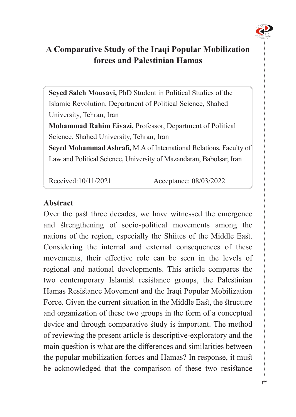

# A Comparative Study of the Iraqi Popular Mobilization **forces and Palestinian Hamas**

Seyed Saleh Mousavi, PhD Student in Political Studies of the Islamic Revolution, Department of Political Science, Shahed University, Tehran, Iran **Mohammad Rahim Eivazi, Professor, Department of Political** Science, Shahed University, Tehran, Iran

Seyed Mohammad Ashrafi, M.A of International Relations, Faculty of Law and Political Science, University of Mazandaran, Babolsar, Iran

Received:10/11/2021 Acceptance: 08/03/2022

#### **Abstract**

Over the past three decades, we have witnessed the emergence and strengthening of socio-political movements among the nations of the region, especially the Shiites of the Middle East. Considering the internal and external consequences of these movements, their effective role can be seen in the levels of regional and national developments. This article compares the two contemporary Islamist resistance groups, the Palestinian Hamas Resistance Movement and the Iraqi Popular Mobilization Force. Given the current situation in the Middle East, the structure and organization of these two groups in the form of a conceptual device and through comparative study is important. The method of reviewing the present article is descriptive-exploratory and the main question is what are the differences and similarities between the popular mobilization forces and Hamas? In response, it must be acknowledged that the comparison of these two resistance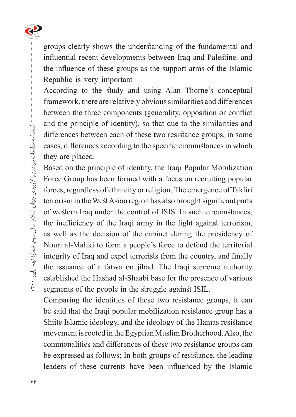

groups clearly shows the understanding of the fundamental and influential recent developments between Iraq and Palestine. and the influence of these groups as the support arms of the Islamic Republic is very important

According to the study and using Alan Thorne's conceptual framework, there are relatively obvious similarities and differences between the three components (generality, opposition or conflict and the principle of identity), so that due to the similarities and differences between each of these two resistance groups, in some cases, differences according to the specific circumstances in which they are placed.

Based on the principle of identity, the Iraqi Popular Mobilization Force Group has been formed with a focus on recruiting popular forces, regardless of ethnicity or religion. The emergence of Takfiri terrorism in the West Asian region has also brought significant parts of western Iraq under the control of ISIS. In such circumstances, the inefficiency of the Iraqi army in the fight against terrorism, as well as the decision of the cabinet during the presidency of Nouri al-Maliki to form a people's force to defend the territorial integrity of Iraq and expel terrorists from the country, and finally the issuance of a fatwa on jihad. The Iraqi supreme authority established the Hashad al-Shaabi base for the presence of various segments of the people in the struggle against ISIL.

Comparing the identities of these two resistance groups, it can be said that the Iraqi popular mobilization resistance group has a Shiite Islamic ideology, and the ideology of the Hamas resistance movement is rooted in the Egyptian Muslim Brotherhood. Also, the commonalities and differences of these two resistance groups can be expressed as follows; In both groups of resistance, the leading leaders of these currents have been influenced by the Islamic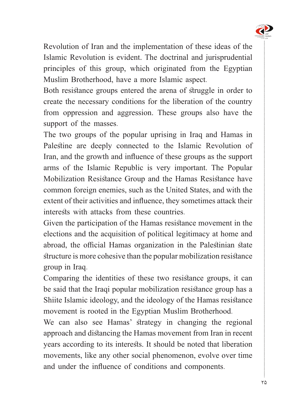

Revolution of Iran and the implementation of these ideas of the Islamic Revolution is evident. The doctrinal and jurisprudential principles of this group, which originated from the Egyptian Muslim Brotherhood, have a more Islamic aspect.

Both resistance groups entered the arena of struggle in order to create the necessary conditions for the liberation of the country from oppression and aggression. These groups also have the support of the masses.

The two groups of the popular uprising in Iraq and Hamas in Palestine are deeply connected to the Islamic Revolution of Iran, and the growth and influence of these groups as the support arms of the Islamic Republic is very important. The Popular Mobilization Resistance Group and the Hamas Resistance have common foreign enemies, such as the United States, and with the extent of their activities and influence, they sometimes attack their interests with attacks from these countries.

Given the participation of the Hamas resistance movement in the elections and the acquisition of political legitimacy at home and abroad, the official Hamas organization in the Palestinian state structure is more cohesive than the popular mobilization resistance group in Iraq.

Comparing the identities of these two resistance groups, it can be said that the Iraqi popular mobilization resistance group has a Shiite Islamic ideology, and the ideology of the Hamas resistance movement is rooted in the Egyptian Muslim Brotherhood.

We can also see Hamas' strategy in changing the regional approach and distancing the Hamas movement from Iran in recent years according to its interests. It should be noted that liberation movements, like any other social phenomenon, evolve over time and under the influence of conditions and components.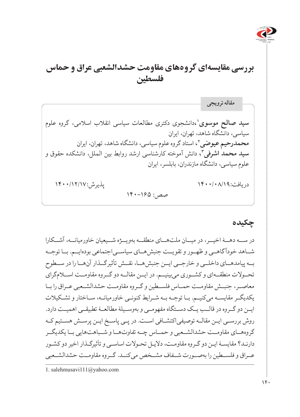

# **بررسی مقایسهای گروههای مقاومت حشدالشعبی عراق و حماس فلسطین**

**سید صالح موسوی**'،دانشجوی دکتری مطالعات سیاسی انقلاب اسلامی، گروه علوم سیاسی، دانشگاه شاهد، تهران، ایران **محمدرحیم عیوضی'**، استاد گروه علوم سیاسی، دانشگاه شاهد، تهران، ایران **،3** دانش آموخته کارشناسی ارشد روابط بین الملل، دانشکده حقوق و **سید محمد اشرفی** علوم سیاسی، دانشگاه مازندران، بابلسر، ایران دریافت:۱۴۰۰/۱۸/۱۹ / ۱۴۰۰/۰۸/۱۹  $\sqrt{14 \cdot -180}$ : صص **مقاله ترویجی**

### **چکیده**

در ســه دهــۀ اخیــر، در میــان ملتهــای منطقــه بهویــژه شــیعیان خاورمیانــه، آشــکارا شــاهد خودآ گاهــی و ظهــور و تقویــت جنبشهــای سیاســیاجتماعی بودهایــم. بــا توجــه بــه پیامدهــای داخلــی و خارجــی ایــن جنبشهــا، نقــش تأثیرگــذار آنهــا را در ســطوح تحــوالت منطقــهای و کشــوری میبینیــم. در ایــن مقالــه دو گــروه مقاومــت اســامگرای معاصــر، جنبــش مقاومــت حمــاس فلســطین و گــروه مقاومــت حشدالشــعبی عــراق را بــا یکدیگــر مقایســه میکنیــم. بــا توجــه بــه شــرایط کنونــی خاورمیانــه، ســاختار و تشــکیالت ایــن دو گــروه در قالــب یــک دســتگاه مفهومــی و بهوســیلۀ مطالعــۀ تطبیقــی اهمیــت دارد. روش بررسـی ایـن مقالـه توصیفیاکتشـافی اسـت. در پـی پاسـخ ایـن پرسـش هسـتیم کـه گروههــای مقاومــت حشدالشــعبی و حمــاس چــه تفاوتهــا و شــباهتهایی بــا یکدیگــر دارنـد؟ مقایسـۀ ایـن دو گـروه مقاومـت، دالیـل تحـوالت اساسـی و تأثیرگـذار اخیر دو کشـور عــراق و فلســطین را بهصــورت شــفاف مشــخص میکنــد. گــروه مقاومــت حشدالشــعبی

<sup>1.</sup> salehmusavi $111@y$ ahoo.com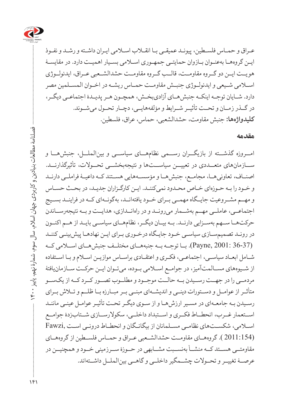

عـراق و حمـاس فلسـطین، پیونـد عمیقـی بـا انقـاب اسـامی ایـران داشـته و رشـد و نفـوذ ایــن گروههـا بهعنـوان بــازوان حمایتــی جمهـوری اســلامی بســیار اهمیــت دارد. در مقایســۀ هویــت ایــن دو گــروه مقاومــت، قالــب گــروه مقاومــت حشدالشــعبی عــراق، ایدئولــوژی اسلامی ش یعی و ایدئولـوژی جنب ش مقاوم ت حم اس ریشهــ در [اخــوان المســلمین](http://hamshahrionline.ir/details/127033) مصر دارد. شـایان توجـه اینکـه جنبشهـای آزادیبخـش، همچـون هـر پدیـدۀ اجتماعـی دیگـر، در گــذر زمــان و تحــت تأثیــر شــرایط و مؤلفههایــی، دچــار تحــول میشــوند. **کلیدواژهها:** جنبش مقاومت، حشدالشعبی، حماس، عراق، فلسطین.

#### **مقدمه**

امــروزه گذشــته از بازیگــران رســمی نظامهــای سیاســی و بینالملــل، جنبشهــا و س ازمانهای متعـ ددی در تعییــن سیاســتها و نتیجهبخشــی تحــوالت، تأثیرگذارنــد. اصنــاف، تعاونیهــا، مجامــع، جنبشهــا و مؤسســههایی هســتند کــه داعیــۀ فراملــی دارنــد و خـود را بـه حـوزهای خـاص محـدود نمیکننـد. ایـن کارگـزاران جدیـد، در بحـث حسـاس و مهــم مشــروعیت جایــگاه مهمــی بــرای خــود یافتهانــد، بهگونــهای کــه در فراینــد بســیج اجتماعــی، عاملــی مهــم بهشــمار میرونــد و در راهانــدازی، هدایــت و بــه نتیجهرســاندن حرکتهــا ســهم بهســزایی دارنــد. بــه بیــان دیگــر، نظامهــای سیاســی بایــد از هــم اکنــون در رونـد تصمیمسـازی سیاسـی خـود جایـگاه درخـوری بـرای ایـن نهادهـا پیشبینـی کننـد (36-37 2001: ,Payne(. بــا توجــه بــه جنبههــای مختلــف جنبشهــای اســامی کــه شـامل ابعـاد سیاسـی، اجتماعـی، فکـری و اعتقـادی براسـاس موازیـن اسـام و بـا اسـتفاده از شــیوههای مســالمتآمیز، در جوامــع اســامی بــوده، میتــوان ایــن حرکــت ســازمانیافتۀ مردمــی را در جهــت رســیدن بــه حالــت موجــود و مطلــوب تصــور کــرد کــه از یکســو متأثــر از عوامــل و دســتورات دینــی و اندیشــهای مبنــی بــر مبــارزه بــا ظلــم و تــاش بــرای رسـیدن بـه جامعـهای در مسـیر ارزشهـا و از سـوی دیگـر تحـت تأثیـر عوامـل عینـی ماننـد اســتعمار غــرب، انحطــاط فکــری و اســتبداد داخلــی، سکوالرســازی شــتابزدۀ جوامــع اسـامی، شکسـتهای نظامـی مسـلمانان از بیگانـگان و انحطـاط درونـی اسـت ,Fawzi (2011:154 ). گروههــای مقاومــت حشدالشــعبی عــراق و حمــاس فلســطین از گروههــای مقاومتــی هســتد کــه منشــأ بهنســبت مشــابهی در حــوزۀ ســرزمینی خــود و همچنیــن در عرصــۀ تغییــر و تحــوالت چشــمگیر داخلــی و گاهــی بینالملــل داشــتهاند.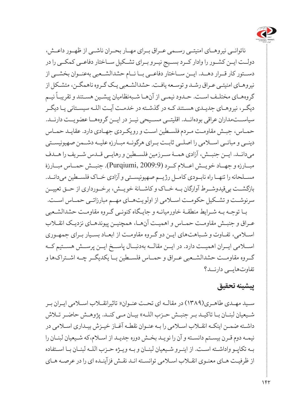

 ناتوانــی نیروهــای امنیتــی رســمی عــراق بــرای مهــار بحــران ناشــی از ظهــور داعــش، دولــت ایــن کشــور را وادار کــرد بســیج نیــرو بــرای تشــکیل ســاختار دفاعــی کمکــی را در دســتور کار قــرار دهــد. ایــن ســاختار دفاعــی بــا نــام حشدالشــعبی بهعنــوان بخشــی از نیروهـای امنیتـی عـراق رشـد و توسـعه یافـت. حشدالشـعبی یـک گـروه ناهمگـن، متشـکل از س<br>گروههـای مختلـف اسـت. حــدود نیمــی از آنهــا شــبهنظامیان پیشـین هسـتند و تقریبـاً نیــم دیگـر، نیروهـای جدیـدی هسـتند کـه در گذشـته در خدمـت آیـت اللـه سیسـتانی یـا دیگـر سیاس تمداران [عراقی](http://peace-ipsc.org/fa/category/articles/%D8%B9%D8%B1%D8%A7%D9%82/) بودهانــد. اقلیتــی مســیحی نیــز در ایــن گروههــا عضویــت دارنــد. حمـاس، جبـش مقاومـت مـردم فلسـطین اسـت و رویکـردی جهـادی دارد. عقایـد حمـاس دینــی و مبانــی اســامی را اصلــی ثابــت بــرای هرگونــه مبــارزه علیــه دشــمن صهیونیســتی میدانــد. ایــن جنبــش، آزادی همــۀ ســرزمین فلســطین و رهایــی قــدس شــریف را هــدف مبــارزه و جهــاد خویــش اعــام کــرد (2009:9 ,Purqiumi(. جنبــش حمــاس مبــارزۀ مســلحانه را تنهــا راه نابــودی کامــل رژیــم صهیونیســتی و آزادی خــاک فلســطین میدانــد. بازگشــت بیقیدوشــرط آوارگان بــه خــاک و کاشــانۀ خویــش، برخــورداری از حــق تعییــن سرنوشــت و تشــکیل حکومــت اســامی از اولویتهــای مهــم مبارزاتــی حمــاس اســت. بـا توجـه بـه شـرایط منطقـۀ خاورمیانـه و جایـگاه کنونـی گـروه مقاومـت حشدالشـعبی عـراق و جنبـش مقاومـت حمـاس و اهمیـت آنهـا، همچنیـن پیوندهـای نزدیـک انقـاب اسـامی، تفـاوت و شـباهتهای ایـن دو گـروه مقاومـت از ابعـاد بسـیار بـرای جمهـوری اســامی ایــران اهمیــت دارد. در ایــن مقالــه بهدنبــال پاســخ ایــن پرســش هســتیم کــه گــروه مقاومــت حشدالشــعبی عــراق و حمــاس فلســطین بــا یکدیگــر چــه اشــتراکها و تفاوتهایــی دارنــد؟

#### **پیشینه تحقیق**

سـید مهـدی طاهـری)1389( در مقالـه ای تحـت عنـوان» تاثیرانقـاب اسـامی ایـران بـر شـیعیان لبنـان بـا تاکیـد بـر جنبـش حـزب اللـه« بیـان مـی کنـد. پژوهـش حاضـر تـاش داشـته ضمـن اینکـه انقـاب اسـامی را بـه عنـوان نقطـه آغـاز خیـزش بیـداری اسـامی در نیمـه دوم قـرن بیسـتم دانسـته و آن را نویـد بخـش دوره جدیـد از اسـام،که شـیعیان لبنـان را بـه تکاپـو واداشـته اسـت. از اینـرو شـیعیان لبنـان و بـه ویـژه حـزب اللـه لبنـان بـا اسـتفاده از ظرفیـت هـای معنـوی انقـاب اسـامی توانسـته انـد نقـش فزآینـده ای را در عرصـه هـای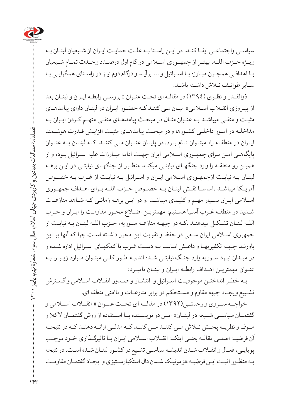

سیاسـی واجتماعـی ایفـا کنـد. در ایـن راسـتا بـه علـت حمایـت ایـران از شـیعیان لبنـان بـه ویــژه حــزب اللــه، بهتــر از جمهــوری اســامی در گام اول درصــدد وحــدت تمــام شــیعیان بـا اهدافـی همچـون مبـارزه بـا اسـرائیل و ... برآیـد و درگام دوم نیـز در راسـتای همگرایـی بـا سـایر طوائـف تـاش داشـته باشـد.

ذوالقـدر و نظـری )1394( در مقالـه ای تحـت عنـوان » بررسـی رابطـه ایـران و لبنـان بعد از پیـروزی انقــلاب اســلامی» بیـان مـی کننـد کـه حضـور ایـران در لبنــان دارای پیامدهـای مثبـت و منفـی میباشـد بـه عنـوان مثـال در مبحـث پیامدهـای منفـی متهـم کـردن ایـران بـه مداخلـه در امـور داخلـی کشـورها و در مبحـث پیامدهـای مثبـت افزایـش قـدرت هوشـمند ایــران در منطقــه را، میتــوان نــام بــرد. در پایــان عنــوان مــی کننــد کــه لبنــان بــه عنــوان پایگاهـی امـن بـرای جمهـوری اسـامی ایران جهـت ادامه مبـارزات علیه اسـرائیل بـوده و از همیـن رو منطقـه را وارد جنگهـای نیابتـی میکنـد منظـور از جنگهـای نیابتـی در ایـن برهـه لبنـان بـه نیابـت ازجمهـوری اسـامی ایـران و اسـرائیل بـه نیابـت از غـرب بـه خصـوص آمریـکا میباشـد .اساسـا نقـش لبنـان بـه خصـوص حـزب اللـه بـرای اهـداف جمهـوری اسـامی ایـران بسـیار مهـم و کلیـدی میباشـد .و در ایـن برهـه زمانـی کـه شـاهد منازعـات شـدید در منطقـه غـرب آسـیا هسـتیم، مهمتریـن اضـاع محـور مقاومـت را ایـران و حـزب اللـه لبنـان تشـکیل میدهنـد .کـه در جبهـه منازعـه سـوریه، حـزب اللـه لبنـان بـه نیابـت از جمهوری اسـامی ایران سـعی در حفظ و تقویت این محور داشـته اسـت چرا که آنها بر این باورنـد جبهـه تکفیریهـا و داعـش اساسـا بـه دسـت غـرب با کمکهـای اسـرائیل اداره شـده و در میـدان نبـرد سـوریه وارد جنـگ نیابتـی شـده اند.بـه طـور کلـی میتـوان مـوارد زیـر را بـه عنـوان مهمتریـن اهـداف رابطـه ایـران و لبنـان نامبـرد:

بـه خطـر انداختـن موجودیـت اسـرائیل و انتشـار و صـدور انقـاب اسـامی و گسـترش تشـییع ویجـاد جبهه مقاوم و مسـتحکم در برابر منازعـات و ناامنی منطقه ای.

خواجــه ســروی و رحمتــی)1392( در مقالــه ای تحــت عنــوان » انقــاب اســامی و گفتمــان سیاســـي شــيعه در لبنــان» ايــن دو نويســنده بــا اســتفاده از روش گفتمــان لاكلا و مــوف و نظریــه پخــش تــاش مــی کننــد مــی کننــد کــه مدلــی ارائــه دهنــد کــه در نتیجــه آن فرضیـه اصلـی مقالـه یعنـی اینکـه انقـاب اسـامی ایـران بـا تاثیرگـذاری خـود موجـب پویایـی، فعـال و انقـاب شـدن اندیشـه سیاسـی تشـیع در کشـور لبنـان شـده اسـت. در نتیجه بـه منظـور اثبـت ایـن فرضیـه هژمونیـک شـدن دال استکبارسـتیزی و ایجـاد گفتمـان مقاومـت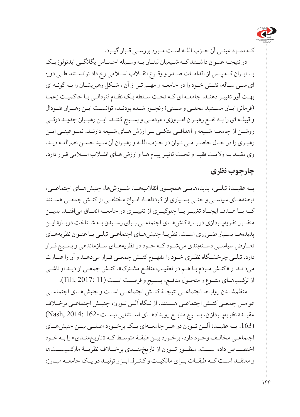

کـه نمـود عینـی آن حـزب اللـه اسـت مـورد بررسـی قـرار گیـرد.

در نتیجــه عنــوان داشــتند کــه شــیعیان لبنــان بــه وســیله احســاس یگانگــی ایدئولوژیــک بـا ایـران کـه پـس از اقدامـات صـدر و وقـوع انقـاب اسـامی رخ داد توانسـتند طـی دوره ای سـی سـاله، نقـش خـود را در جامعـه و مهـم تـر از آن ، شـکل رهبریشـان را بـه گونـه ای بهـت آور تغییـر دهنـد. جامعـه ای کـه تحـت سـلطه یـک نظـام فئودالـی بـا حاکمیـت زعمـا )فرمانروایـان مسـتنبد محلـی و سـنتی( رنجـور شـده بودنـد، توانسـت ایـن رهبـران فئـودال و قبیلـه ای را بـه نفـع رهبـران امـروزی، مردمـی و بسـیج کننـد. ایـن رهبـران جدیـد درکـی روشــن از جامعــه شــیعه و اهدافــی متکــی بــر ارزش هــای شــیعه دارنــد. نمــو عینــی ایــن رهبـری را در حـال حاضـر مـی تـوان در حـزب اللـه و رهبـران آن سـید حسـن نصراللـه دیـد. وی مقیـد بـه والیـت فقیـه و تحـت تاثیـر پیـام هـا و ارزش هـای انقـاب اسـامی قـرار دارد.

#### **چارچوب نظری**

بــه عقیــدۀ تیلــی، پدیدههایــی همچــون انقالبهــا، شــورشها، جنبشهــای اجتماعــی، توطئههـای سیاسـی و حتـی بسـیاری از کودتاهـا، انـواع مختلفـی از کنـش جمعـی هسـتند کــه بــا هــدف ایجــاد تغییــر یــا جلوگیــری از تغییــری در جامعــه اتفــاق میافتــد. بدیــن منظــور نظریهپــردازی دربــارۀ کنشهــای اجتماعــی بــرای رســیدن بــه شــناخت دربــارۀ ایـن پدیدههـا بسـیار ضـروری اسـت. نظریـۀ جنبشهـای اجتماعـی تیلـی بـا عنـوان نظریههـای تعــارض سیاســی دســتهبندی میشــود کــه خــود در نظریههــای ســازماندهی و بســیج قــرار دارد. تیلــی چرخشــگاه نظــری خــود را مفهــوم کنــش جمعــی قــرار میدهــد و آن را عبــارت میدانـد از «کنـش مـردم بـا هـم در تعقیـب منافـع مشـترک». کنـش جمعـی از دیـد او ناشـی از ترکیبهــای متنــوع و متحــول منافــع، بســیج و فرصــت اســت (11 2017: ,Tili(.

منظمشــدن روابــط اجتماعــی نتیجــۀ کنــش اجتماعــی اســت و جنبشهــای اجتماعــی عوامـل جمعـی کنـش اجتماعـی هسـتند. از نـگاه آلـن تـورن، جنبـش اجتماعـی برخـاف عقیــدۀ نظریهپــردازان، بســیج منابــع رویدادهــای اســتثنایی نیســت 162- 2014: ,Nash( (.163 بــه عقیــدۀ آلــن تــورن در هــر جامعــهای یــک برخــورد اصلــی بیــن جنبشهــای اجتماعـی مخالـف وجـود دارد، برخـورد بیـن طبقـۀ متوسـط کـه »تاریخمنـدی« را بـه خـود اختصــاص داده اســت. منظــور تــورن از تاریخمنــدی برخــاف نظریــۀ مارکسیســتها و معتقــد اســت کــه طبقــات بــرای مالکیــت و کنتــرل ابــزار تولیــد در یــک جامعــه مبــارزه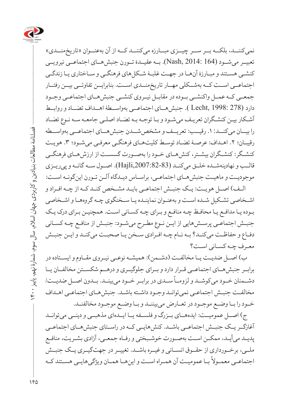

نمی کننــد، بلکــه بــر ســر چیــزی مبــارزه میکننــد کــه از آن بهعنــوان «تاریخمنــدی» تعبیــر میشــود (164 2014: ,Nash(. بــه عقیــدۀ تــورن جنبشهــای اجتماعــی نیرویــی کنشـی هسـتند و مبـارزۀ آنهـا در جهـت غلبـۀ شـکلهای فرهنگـی و سـاختاری یـا زندگـی اجتماعــی اســت کــه بهشــکلی مهــار تاریخمنــدی اســت. بنابرایــن تفاوتــی بیــن رفتــار جمعــی کــه عمــل واکنشــی بــوده در مقابــل نیــروی کنشــی جنبشهــای اجتماعــی وجــود دارد (278 1998: ,Lecht( . جنبشهــای اجتماعــی بهواســطۀ اهــداف تضــاد و روابــط آشـکار بیـن کنشـگران تعریـف میشـود و بـا توجـه بـه تضـاد اصلـی جامعـه سـه نـوع تضـاد را بیــان میکنــد.1: رقیــب: تعریــف و مشخصشــدن جنبشهــای اجتماعــی بهواســطه رقیبـان؛ ٢. اهـداف: عرصـۀ تضـاد توسـط کلیتهـای فرهنگـی معرفـی می شـود؛ ٣. هویـت کنشــگر: کنشــگران بیشــتر، کنشهــای خــود را بهصــورت گسســت از ارزشهــای فرهنگــی قالــب و نهادینهشــده خلــق میکنــد (,2007:82-83Hajli(. اصــول ســه گانــه و پیریــزی موجودیـت و ماهیـت جنبشهـای اجتماعـی، براسـاس دیـدگاه آلـن تـورن اینگونـه اسـت:

الــف( اصــل هویــت: یــک جنبــش اجتماعــی بایــد مشــخص کنــد کــه از چــه افــراد و اشـخاصی تشـکیل شـده اسـت و بهعنـوان نماینـده یـا سـخنگوی چـه گروههـا و اشـخاصی بـوده یـا مدافـع یـا محافـظ چـه منافـع و بـرای چـه کسـانی اسـت. همچنیـن بـرای درک یـک جنبـش اجتماعـی پرسـشهایی از ایـن نـوع مطـرح میشـود: جنبـش از منافـع چـه کسـانی دفـاع و حفاظـت میکنـد؟ بـه نـام چـه افـرادی سـخن یـا صحبـت میکنـد و ایـن جنبـش معـرف چـه کسـانی اسـت؟

ب) اصــل ضدیــت یــا مخالفــت (دشــمن): همیشــه نوعــی نیــروی مقــاوم و ایســتاده در برابــر جنبشهــای اجتماعــی قــرار دارد و بــرای جلوگیــری و درهــم شکســتن مخالفــان یــا . در برابرای مسیح به سال مسیح در برابرای در است.<br>دشــمنان خــود میکوشــد و لزومــاً ســدی در برابــر خــود میبینــد. بــدون اصــل ضدیــت/ مخالفـت جنبـش اجتماعـی نمیتوانـد وجـود داشـته باشـد. جنبشهـای اجتماعـی اهـداف خــود را بــا وضــع موجــود در تعــارض میبیننــد و بــا وضــع موجــود مخالفنــد.

ج) اصــل عمومیــت: ایدههــای بــزرگ و فلســفه یــا ایــدهای مذهبــی و دینــی میتوانــد آغازگــر یــک جنبــش اجتماعــی باشــد. کنشهایــی کــه در راســتای جنبشهــای اجتماعــی پدیـد میآیـد، ممکـن اسـت بهصـورت خوشـبختی و رفـاه جمعـی، آزادی بشـریت، منافـع ملــی، برخــورداری از حقــوق انســانی و غیــره باشــد. تغییــر در جهتگیــری یــک جنبــش ی برد از دو ده دو برد .<br>اجتماعــی معمــولاً بــا عمومیــت آن همــراه اســت و اینهــا همــان ویژگیههایــی هســتند كــه

180

فصلنامۀ مطالعات بنیادین و کاربردی جهان اسالم، سال سوم، شمارۀ نهم، پاییز 1400

 $\ddot{r}$ 

فصلنامهٔ مطالعات بنیادین و کاربردی جهان اسلام، سال سوم، شمارهٔ نهم، پاییز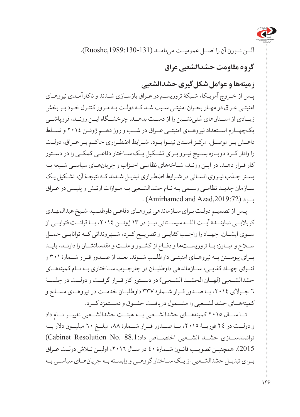

آلــن تــورن آن را اصــل عمومیــت مینامــد (,1989:130-131Ruoshe(.

# **گروه مقاومت حشدالشعبی عراق**

**زمینهها و عوامل شکلگیری حشدالشعبی** 

پـس از خـروج آمریـکا، شـبکۀ تروریسـم در عـراق بازسـازی شـدند و ناکارآمـدی نیروهـای امنیتـی عـراق در مهـار بحـران امنیتـی سـبب شـد کـه دولـت بـه مـرور کنتـرل خـود بـر بخش ُزیــادی از اســتانهای سُنینشــین را از دســت بدهــد. چرخشــگاه ایــن رونــد، فروپاشــی یکچهــارم اســتعداد نیروهــای امنیتــی عــراق در شــب و روز دهــم ژوئــن 2014 و تســلط داعــش بــر موصــل، مرکــز اســتان نینــوا بــود. شــرایط اضطــراری حاکــم بــر عــراق، دولــت را وادار کــرد دوبــاره بســیج نیــرو بــرای تشــکیل یــک ســاختار دفاعــی کمکــی را در دســتور کار قـرار دهـد. در ایـن رونـد، شـاخههای نظامـی احـزاب و جریانهـای سیاسـی شـیعه بـه بسـتر جـذب نیـروی انسـانی در شـرایط اضطـراری تبدیـل شـدند کـه نتیجـۀ آن، تشـکیل یـک سـازمان جدیـد نظامـی رسـمی بـه نـام حشدالشـعبی بـه مـوازات ارتـش و پلیـس در عـراق  $(Amirhamed and Azad,2019:72)$ ب

پـس از تصمیـم دولـت بـرای سـازماندهی نیروهـای دفاعـی داوطلـب، شـیخ عبدالمهـدی کربالیــی نماینــدۀ آیــت اللــه سیســتانی نیــز در 13 ژوئــن ،2014 بــا قرائــت فتوایــی از ســوی ایشــان، جهــاد را واجــب کفایــی و تصریــح کــرد، شــهروندانی کــه توانایــی حمــل ســاح و مبــارزه بــا تروریســتها و دفــاع از کشــور و ملــت و مقدساتشــان را دارنــد، بایــد بــرای پیوســتن بــه نیروهــای امنیتــی داوطلــب شــوند. بعــد از صــدور قــرار شــمارۀ 301 و فتــوای جهــاد کفایــی، ســازماندهی داوطلبــان در چارچــوب ســاختاری بــه نــام کمیتههــای حشدالشــعبی (لهــان الحشــد الشــعبی) در دســتور کار قــرار گرفــت و دولــت در جلســۀ 6 جــوالی ،2014 بــا صــدور قــرار شــمارۀ 337 داوطلبــان خدمــت در نیروهــای مســلح و کمیتههــای حشدالشــعبی را مشــمول دریافــت حقــوق و دســتمزد کــرد.

تــا ســال 2015 کمیتههــای حشدالشــعبی بــه هیئــت حشدالشــعبی تغییــر نــام داد و دولــت در 24 فوریــۀ ،2015 بــا صــدور قــرار شــمارۀ ،88 مبلــغ 60 میلیــون دالر بــه توانمندســازی حشــد الشـعبی اختصــاص داد:68.1. (Cabinet Resolution No. 88) 2015(. همچنی ن تصوی ب قان ون ش مارۀ 40 در سـال ،2016 اولیـن تـاش دولـت عـراق بــرای تبدیــل حشدالشــعبی از یــک ســاختار گروهــی و وابســته بــه جریانهــای سیاســی بــه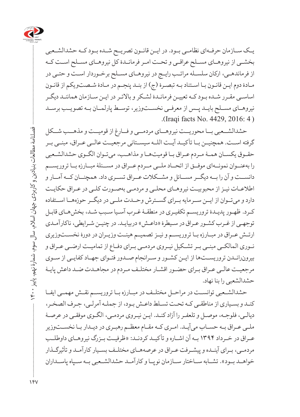

یــک ســازمان حرفــهای نظامــی بــود. در ایــن قانــون تصریــح شــده بــود کــه حشدالشــعبی بخشــی از نیروهــای مســلح عراقــی و تحــت امــر فرمانــدۀ کل نیروهــای مســلح اســت کــه از فرماندهـی، ارکان سلسـله مراتـب رایـج در نیروهـای مسـلح برخـوردار اسـت و حتـی در مـادۀ دوم ایـن قانـون بـا اسـتناد بـه تبصـرۀ )ج( از بنـد پنجـم در مـادۀ شـصتویکم از قانـون اساسـی مقـرر شـده بـود کـه تعییـن فرمانـدۀ لشـکر و باالتـر در ایـن سـازمان هماننـد دیگـر نیروهــای مســلح بایــد پــس از معرفــی نخســتوزیر، توســط پارلمــان بــه تصویــب برســد (Iraqi facts No. 4429, 2016: 4).

حشدالشــعبی بــا محوریــت نیروهــای مردمــی و فــارغ از قومیــت و مذهــب شــکل گرفته اســت. همچنیــن بـا تأکیــد آیــت اللــه سیســتانی مرجعیــت عالــی عــراق، مبنــی بــر حقـوق یکسـان همـۀ مـردم عـراق بـا قومیتهـا و مذاهـب، میتـوان الگـوی حشدالشـعبی را بهعنــوان نمونــهای موفــق از اتحــاد ملــی مــردم عــراق در مســئلۀ مبــارزه بــا تروریســم دانســت و آن را بــه دیگــر مســائل و مشــکالت عــراق تســری داد. همچنــان کــه آمــار و اطالعـات نیـز از محبوبیـت نیروهـای محلـی و مردمـی بهصـورت کلـی در عـراق حکایـت دارد و میتــوان از ایــن ســرمایه بــرای گســترش وحــدت ملــی در دیگــر حوزههــا اســتفاده کـرد. ظهـور پدیـدۀ تروریسـم تکفیـری در منطقـۀ غـرب آسـیا سـبب شـد، بخشهـای قابـل توجهـی از غـرب کشـور عـراق در سـیطرۀ »داعـش« دربیایـد. در چنیـن شـرایطی، ناکارآمـدی ارتــش عــراق در مبــارزه بــا تروریســم و نیــز تصمیــم هیئــت وزیــران در دورۀ نخســتوزیری نـوری المالکـی مبنـی بـر تشـکیل نیـروی مردمـی بـرای دفـاع از تمامیـت ارضـی عـراق و بیرونرانــدن تروریســتها از ایــن کشــور و ســرانجام صــدور فتــوای جهــاد کفایــی از ســوی مرجعیـت عالــي عـراق بـراي حضـور اقشـار مختلـف مـردم در مجاهــدت ضـد داعش پايـۀ حشدالشعبی را بنا نهاد.

حشدالشــعبی توانســت در مراحــل مختلــف در مبــارزه بــا تروریســم نقــش مهمــی ایفــا کنـد و بسـیاری از مناطقـی کـه تحـت تسـلط داعـش بـود، از جملـه آمرلـی، جـرف الصخـر، دیالـی، فلوجـه، موصـل و تلعفـر را آزاد کنـد. ایـن نیـروی مردمـی، الگـوی موفقـی در عرصـۀ ملـی عـراق بـه حسـاب میآیـد. امـری کـه مقـام معظـم رهبـری در دیـدار بـا نخسـتوزیر عــراق در خــرداد ۱۳۹۴ بــه آن اشــاره و تأکیــد کردنــد: »ظرفیــت بــزرگ نیروهــای داوطلــب مردمـی، بـرای آینـده و پیشـرفت عـراق در عرصههـای مختلـف بسـیار کارآمـد و تأثیرگـذار خواهــد بــود». تشــابه ســاختار ســازمان نوپــا و کارآمــد حشدالشــعبی بــه ســياه پاســداران

 فصلنامۀ مطالعات بنیادین و کاربردی جهان اسالم، سال سوم، شمارۀ نهم، پاییز 1400 فصلنامه مطالعات بنيادين و كاربردى جهان اسلام، سال سوم، شمارهٔ نهم، پاييز ۴۰۰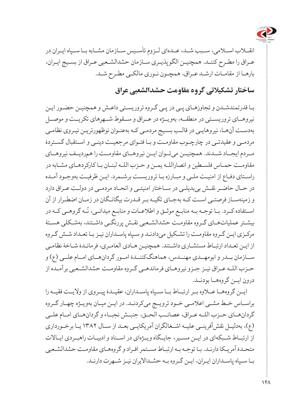

انقــاب اســامی، ســبب شــد، عــدهای لــزوم تأســیس ســازمان مشــابه بــا ســپاه ایــران در عـراق را مطـرح کننـد. همچنیـن الگوپذیـری سـازمان حشدالشـعبی عـراق از بسـیج ایـران، بارهـا از مقامـات ارشـد عـراق، همچـون نـوری مالکـی مطـرح شـد.

# **ساختار تشکیالتی گروه مقاومت حشدالشعبی عراق**

بـا قدرتمندشـدن و تجاوزهـای پـی در پـی گـروه تروریسـتی داعـش و همچنیـن حضـور ایـن نیروهــای تروریســتی در منطقــه، بهویــژه در عــراق و ســقوط شــهرهای تکریــت و موصــل بهدسـت آنهـا، نیروهایـی در قالـب بسـیج مردمـی کـه بهعنـوان نوظهورتریـن نیـروی نظامـی مردمـی و عقیدتـی در چارچـوب مقاومـت و بـا فتـوای مرجعیـت دینـی و اسـتقبال گسـتردۀ مــردم ایجــاد شــدند. همچنیــن میتــوان ایــن نیروهــای مقاومــت را همردیــف نیروهــای مقاومـت حمـاس فلسـطین و انصاراللـه یمـن و حـزب اللـه لبنـان بـا کارکردهـای مشـابه در راسـتای دفـاع از امنیـت ملـی و مبـارزه بـا تروریسـت برشـمرد. ایـن ظرفیـت بهوجـود آمـده در حـال حاضـر نقـش بیبدیلـی در سـاختار امنیتـی و اتحـاد مردمـی در دولـت عـراق دارد و زمینهسـاز فرصتـی اسـت کـه بهجـای تکیـه بـر قـدرت بیگانـگان در زمـان اضطـرار از آن اسـتفاده کــرد. بــا توجــه بــه منابــع موثــق و اطلاعــات و منابــع میدانــی، نُــه گروهــی کــه در بیشـتر عملیاتهـای گـروه مقاومـت حشدالشـعبی نقـش پررنگـی داشـتند، بهشـکلی هسـتۀ مرکـزی ایـن گـروه مقاومـت را تشـکیل می دادنـد و سـپاه پاسـداران نیـز بـا تعـداد شـش گـروه از ایـن تعـداد ارتبـاط مستشـاری داشـتند. همچنیـن هـادی العامـری، فرمانـدۀ شـاخۀ نظامـی ســازمان بــدر و ابومهــدی مهنــدس، هماهنگکننــدۀ امــور گردانهــای امــام علــی )ع( و حـزب اللـه عـراق نیـز جـزو نیروهـای فرماندهـی گـروه مقاومـت حشدالشـعبی برآمـده از درون ایــن گروههــا بودنــد.

ایــن گروههــا عــاوه بــر ارتبــاط بــا ســپاه پاســداران، عقیــدۀ پیــروی از والیــت فقیــه را براســاس خــط مشــی اعالمــی خــود ترویــج میکردنــد. در ایــن میــان بهویــژه چهــار گــروه گردانهــای حــزب اللــه عــراق، عصائــب الحــق، جنبــش نجبــاء و گردانهــای امــام علــی )ع(، بهدلیــل نقشآفرینــی علیــه اشــغالگران آمریکایــی بعــد از ســال 1382 یــا برخــورداری از ارتبــاط شــبکهای در ایــن مســیر، جایــگاه ویــژهای در اســناد و ادبیــات راهبــردی ایــاالت متحـدۀ آمریـکا دارنـد. بـا توجـه بـه ارتبـاط مسـتمر افـراد و گروههـای مقاومـت حشدالشـعبی بـا سـپاه پاسـداران ایـران، ایـن گـروه بـه حشـداالیران نیـز شـهرت دارنـد.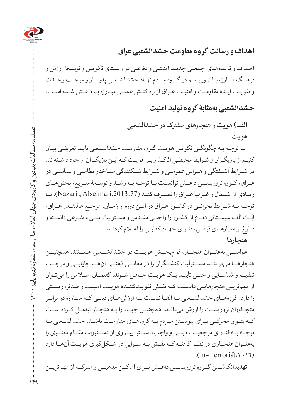

# **اهداف و رسالت گروه مقاومت حشدالشعبی عراق**

اهـداف و قاعدههـای جمعـی جدیـد امنیتـی و دفاعـی در راسـتای تکویـن و توسـعۀ ارزش و فرهنـگ مبـارزه بـا تروریسـم در گـروه مـردم نهـاد حشدالشـعبی پدیـدار و موجـب وحـدت و تقویـت ایـدۀ مقاومـت و امنیـت عـراق از راه کنـش عملـی مبـارزه بـا داعـش شـده اسـت.

**حشدالشعبی بهمثابۀ گروه تولید امنیت**

**الف( هویت و هنجارهای مشترک در حشدالشعبی هویت**

 بـا توجـه بـه چگونگـی تکویـن هویـت گـروه مقاومـت حشدالشـعبی بایـد تعریفـی بیـان کنیـم از بازیگـران و شـرایط محیطـی اثرگـذار بـر هویـت کـه ایـن بازیگـران از خود داشـتهاند. در شــرایط آشــفتگی و هــراس عمومــی و شــرایط شــکنندگی ســاختار نظامــی و سیاســی در عـراق، گـروه تروریسـتی داعـش توانســت بـا توجــه بـه رشــد و توســعۀ سـریع، بخشهـای زیــادی از شــمال و غــرب عــراق را تصــرف کنــد (,2013:77Alseimari , Nazari(. بــا توجــه بــه شــرایط بحرانــی در کشــور عــراق در ایــن دوره از زمــان، مرجــع عالیقــدر عــراق، آیـت اللـه سیسـتانی دفـاع از کشـور را واجبـی مقـدس و مسـئولیت ملـی و شـرعی دانسـته و فـارغ از معیارهـای قومـی، فتـوای جهـاد کفایـی را اعـام کردنـد. **هنجارها**

عواملــی بهعنــوان هنجــار، قوامبخــش هویــت در حشدالشــعبی هســتند. همچنیــن هنجارهــا میتواننــد مســئولیت کنشــگران را در معانــی ذهنــی آنهــا جایابــی و موجــب تنظیـم و شناسـایی و حتـی تأییـد یـک هویـت خـاص شـوند. گفتمـان اسـامی را میتـوان از مهمتریــن هنجارهایــی دانســت کــه نقــش تقویتکننــدۀ هویــت امنیــت و ضدتروریســتی را دارد. گروههــای حشدالشــعبی بــا القــا نســبت بــه ارزشهــای دینــی کــه مبــارزه در برابــر متجــاوزان تروریســت را ارزش می دانــد. همچنیــن جهــاد را بــه هنجــار تبدیــل کــرده اســت کــه بتــوان محرکــی بــرای پیوســتن مــردم بــه گروههــای مقاومــت باشــد. حشدالشــعبی بــا توجــه بــه فتــوای مرجعیــت دینــی و واجبدانســتن پیــروی از دســتورات مقــام معنــوی را بهعنــوان هنجــاری در نظــر گرفتــه کــه نقــش بــه ســزایی در شــکلگیری هویــت آنهــا دارد  $(n - \text{terrorist}.\uparrow \rightarrow \uparrow \uparrow)$ 

تهدیدانگاشــتن گــروه تروریســتی داعــش بــرای اماکــن مذهبــی و متبرکــه از مهمتریــن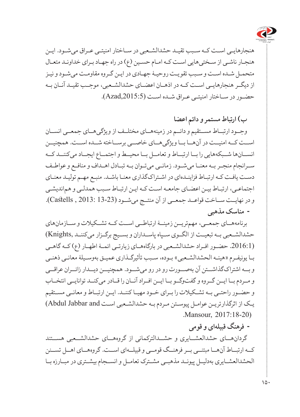

هنجارهایـی اسـت کـه سـبب تقیـد حشدالشـعبی در سـاختار امنیتـی عـراق میشـود. ایـن هنجـار ناشـی از سـختیهایی اسـت کـه امـام حسـین )ع( در راه جهـاد بـرای خداونـد متعـال متحمـل شـده اسـت و سـبب تقویـت روحیـۀ جهـادی در ایـن گـروه مقاومـت میشـود و نیـز از دیگــر هنجارهایــی اســت کــه در اذهــان اعضــای حشدالشــعبی، موجــب تقیــد آنــان بــه حضـور در سـاختار امنیتـی عـراق شـده اسـت (Azad,2015:5).

**ب( ارتباط مستمر و دائم اعضا**

وجــود ارتبــاط مســتقیم و دائــم در زمینههــای مختلــف از ویژگیهــای جمعــی انســان اســت کــه امنیــت در آنهــا بــا ویژگیهــای خاصــی برســاخته شــده اســت. همچنیــن انســانها شــبکههایی را بــا ارتبــاط و تعامــل بــا محیــط و اجتمــاع ایجــاد میکننــد کــه ســرانجام منجــر بــه معنــا میشــود. زمانــی میتــوان بــه تبــادل اهــداف و منافــع و عواطــف دسـت یافـت کـه ارتبـاط فزاینـدهای در اشـتراکگذاری معنـا باشـد. منبـع مهـم تولیـد معنـای اجتماعـی، ارتبـاط بیـن اعضـای جامعـه اسـت کـه ایـن ارتبـاط سـبب همدلـی و هماندیشـی و در نهایــت ســاخت قواعــد جمعــی از آن منتــج میشــود (13-23 2013: , Castells(.  **مناسک مذهبی**

برنامههــای جمعــی، مهمتریــن زمینــۀ ارتباطــی اســت کــه تشــکیالت و ســازمانهای حشدالشــعبی بــه تبعیــت از الگــوی ســپاه پاســداران و بســیج برگــزار میکننــد ,Knights( (.2016:1 حضــور افــراد حشدالشــعبی در بارگاههــای زیارتــی ائمــۀ اطهــار )ع( کــه گاهــی بـا یونیفـرم »هیئـه الحشدالشـعبی« بـوده، سـبب تأثیرگـذاری عمیـق بهوسـیلۀ معانـی ذهنـی و بــه اشتراکگذاشــتن آن بهصــورت رو در رو میشــود. همچنیــن دیــدار زائــران عراقــی و مــردم بــا ایــن گــروه و گفتوگــو بــا ایــن افــراد آنــان را قــادر میکنــد توانایــی انتخــاب و حضــور راحتــی بــه تشــکیالت را بــرای خــود مهیــا کننــد. ایــن ارتبــاط و معانــی مســتقیم یـک از اثرگذارتریـن عوامـل پیوسـتن مـردم بـه حشدالشـعبی اسـت and Jabbar Abdul( Mansour, 2017:18-20)

 **فرهنگ قبیلهای و قومی**

گردانهــای حشدالعشــایری و حشــدالترکمانی از گروههــای حشدالشــعبی هســتند کــه ارتبــاط آنهــا مبتنــی بــر فرهنــگ قومــی و قبیلــهای اســت. گروههــای اهــل تســنن الحشدالعشــایری بهدلیــل پیونــد مذهبــی مشــترک تعامــل و انســجام بیشــتری در مبــارزه بــا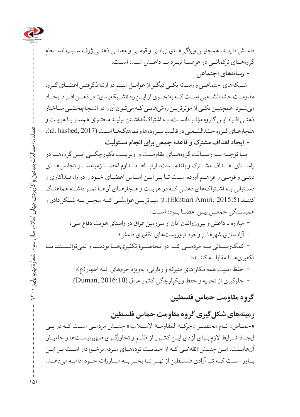

داعـش دارنـد. همچنیـن ویژگیهـای زبانــی و قومــی و معانــی ذهنـی ژرف ســبب انسـجام گروههــای ترکمانــی در عرصــۀ نبــرد بــا داعــش شــده اســت.

 **رسانههای اجتماعی**

شـبکههای اجتماعـی و رسـانه یکـی دیگـر از عوامـل مهـم در ارتباطگرفتـن اعضـای گـروه مقاومــت حشدالشــعبی اســت کــه بهنحــوی از ایــن راه «شــبکهبندی» در ذهــن افــراد ایجــاد میشـود. همچنیـن یکـی از مؤثرتریـن روشهایـی کـه میتـوان آن را در انسجامبخشـی سـاختار ذهنـی افـراد ایـن گـروه مؤثـر دانسـت، بـه اشتراکگذاشـتن تولیـد محتـوای همسـو بـا هویـت و هنجارهـای گـروه حشدالشـعبی در قالـب سـرودهها و نماهنگهـا اسـت (2017 ,al. hashed).  **ایجاد اهداف مشترک و قاعدۀ جمعی برای انجام مسئولیت**

بــا توجــه بــه رســالت گروههــای مقاومــت و اولویــت یکپارچگــی ایــن گروههــا در راســتای اهــداف مشــترک و بلندمــدت، ارتبــاط مــداوم اعضــا زمینهســاز تجانسهــای دینـی و قومـی را فراهـم آورده اسـت تـا بـر ایـن اسـاس اعضـای خـود را در راه فـداکاری و دسـتیابی بـه اشـتراکهای ذهنـی کـه در هویـت و هنجارهـای آنهـا نمـو داشـته هماهنـگ کننــد (2015:5 ,Ekhtiari Amiri). از مهمتریــن عواملــی کــه منحــر بــه شــکل دادن و همبســتگی جمعــی بیــن اعضــا بــوده اســت: مبارزه با داعش و بیرونراندن آنان از سرزمین عراق در راستای هویت دفاع ملی؛ آزادسازی شهرها از وجود تروریستهای تکفیری داعش؛ کمکرســانی بــه مردمــی کــه در محاصــرۀ تکفیریهــا بودنــد و نمیتوانســتند بــا تکفیریهــا مقابلــه کننــد؛

> حفظ امنیت همۀ مکانهای متبرکه و زیارتی، بهویژه حرمهای ائمه اطهار)ع(؛ جلوگیری از تجزیه و حفظ و یکپارچگی کشور عراق (2016:10 ,Duman(.

### **گروه مقاومت حماس فلسطین**

**زمینههای شکلگیری گروه مقاومت حماس فلسطین** «حمــاس» نــام مختصــر «حركــة المقاومــة الإســلامية» جنبــش مردمــی اســت كــه در يــی ایجـاد شـرایط الزم بـرای آزادی ایـن کشـور از ظلـم و تجاوزگـری صهیونیسـتها و حامیـان آنهاسـت. ایـن جنبـش انقالبـی کـه از حمایـت تودههـای مـردم برخـوردار اسـت بـر ایـن بــاور اســت کــه تــا آزادی فلســطین از نهــر تــا بحــر بــه مبــارزات خــود ادامــه میدهــد.

 فصلنامۀ مطالعات بنیادین و کاربردی جهان اسالم، سال سوم، شمارۀ نهم، پاییز 1400 فصلنامهٔ مطالعات بنیادین و کاربردی جهان اسلام، سال سوم، شمارهٔ نهم، پاییز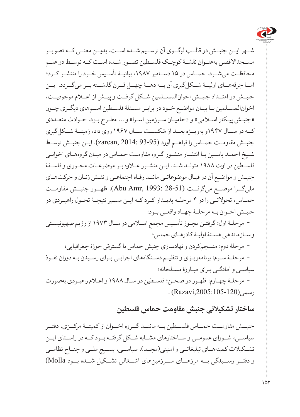

شــهر ایــن جنبــش در قالــب لوگــوی آن ترســیم شــده اســت. بدیــن معنــی کــه تصویــر مســجداالقصی بهعنــوان نقشــۀ کوچــک فلســطین تصــور شــده اســت کــه توســط دو علــم محافظــت میشــود. حمــاس در 15 دســامبر ،1987 بیانیــۀ تأســیس خــود را منتشــر کــرد؛ امــا جرقههــای اولیــۀ شــکلگیری آن بــه دهــۀ چهــل قــرن گذشــته بــر میگــردد. ایــن جنبــش در امتــداد جنبــش اخوانالمســلمین شــکل گرفــت و پیــش از اعــام موجودیــت، اخوانالمسـلمین بـا بیـان مواضـع خـود در برابـر مسـئلۀ فلسـطین اسـمهای دیگـری چـون «جنبـش پیـکار اسـلامی» و «حامیـان سـرزمین اسـرا» و ... مطـرح بـود. حـوادث متعـددی کــه در ســال 1947و بهویــژه بعــد از شکســت ســال 1967 روی داد، زمینــۀ شــکلگیری جنبــش مقاومــت حمــاس را فراهــم آورد (93-95 2014: ,zarean(. ایــن جنبــش توســط شـیخ احمـد یاسـین بـا انتشـار منشـور گـروه مقاومـت حمـاس در میـان گروههـای اخوانـی فلسـطین در اوت 1988 متولـد شـد. ایـن منشـور عـاوه بـر موضوعـات محـوری و فلسـفۀ جنبـش و مواضـع آن در قبـال موضوعاتـی ماننـد رفـاه اجتماعـی و نقـش زنـان و حرکتهـای ملیگــرا موضــع میگرفــت (28-51 1993: ,Amr Abu(. ظهــور جنبــش مقاومــت حمـاس، تحوالتـی را در 4 مرحلـه پدیـدار کـرد کـه ایـن مسـیر نتیجـۀ تحـول راهبـردی در جنبـش اخـوان بـه مرحلـۀ جهـاد واقعـی بـود: مرحلـۀ اول: گرفتـن مجـوز تأسـیس مجمع اسـامی در سـال 1973 از رژیم صهیونیسـتی و سـازماندهی هسـتۀ اولیـۀ کادرهـای حماس؛ مرحلۀ دوم: منسجمکردن و نهادسازی جنبش حماس با گسترش حوزۀ جغرافیایی؛ مرحلـۀ سـوم: برنامهریـزی و تنظیـم دسـتگاههای اجرایـی بـرای رسـیدن بـه دوران نفـوذ سیاسـی و آمادگـی بـرای مبـارزۀ مسـلحانه؛ مرحلـۀ چهـارم: ظهـور در صحـن؛ فلسـطین در سـال 1988 و اعـام راهبـردی بهصورت  $(Razavi, 2005:105-120)$ , رسمی

#### **ساختار تشکیالتی جنبش مقاومت حماس فلسطین**

جنبــش مقاومــت حمــاس فلســطین بــه ماننــد گــروه اخــوان از کمیتــۀ مرکــزی، دفتــر سیاســی، شــورای عمومــی و ســاختارهای مشــابه شــکل گرفتــه بــود کــه در راســتای ایــن تشــکیالت کمیتههــای تبلیغاتــی و امنیتی)مجــد(، سیاســی، بســیج ملــی و جنــاح نظامــی و دفتــر رســیدگی بــه مرزهــای ســرزمینهای اشــغالی تشــکیل شــده بــود Molla(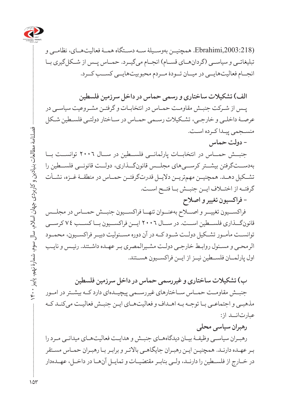

(,2003:218Ebrahimi. همچنیــن بهوســیلۀ ســه دســتگاه همــۀ فعالیتهــای، نظامــی و تبلیغاتــی و سیاســی (گردانهــای قســام) انجــام میگیــرد. حمــاس پــس از شــکل گیری بــا انجــام فعالیتهایــی در میــان تــودۀ مــردم محبوبیتهایــی کســب کــرد.

**الف( تشکیالت ساختاری و رسمی حماس در داخل سرزمین فلسطین**

پـس از شـرکت جنبـش مقاومـت حمـاس در انتخابـات و گرفتـن مشـروعیت سیاسـی در عرصـۀ داخلـی و خارجـی، تشـکیالت رسـمی حمـاس در سـاختار دولتـی فلسـطین شـکل منسـجمی پیـدا کـرده اسـت.

جنبــش حمــاس در انتخابــات پارلمانــی فلســطین در ســال 2006 توانســت بــا بهدســتگرفتن بیشــتر کرســیهای مجلــس قانونگــذاری، دولــت قانونــی فلســطین را تشــکیل دهــد. همچنیــن مهمتریــن دالیــل قدرتگرفتــن حمــاس در منطقــۀ غــزه، نشــأت گرفتــه از اختــاف ایــن جنبــش بــا فتــح اســت.

**- فراکسیون تغییر و اصالح**

**- دولت حماس**

 فراکســیون تغییــر و اصــاح بهعنــوان تنهــا فراکســیون جنبــش حمــاس در مجلــس قانونگــذاری فلســطین اســت. در ســال 2006 ایــن فراکســیون بــا کســب 74 کرســی توانســت مأمــور تشــکیل دولــت شــود کــه در آن دوره مســئولیت دبیــر فراکســیون، محمــود الرمحـی و مسـئول روابـط خارجـی دولـت مشـیرالمصری بـر عهـده داشـتند. رئیـس و نایـب اول پارلمــان فلســطین نیــز از ایــن فراکســیون هســتند.

**ب( تشکیالت ساختاری و غیررسمی حماس در داخل سرزمین فلسطین** جنبــش مقاومــت حمــاس ســاختارهای غیررســمی پیچیــدهای دارد کــه بیشــتر در امــور مذهبـی و اجتماعـی بـا توجـه بـه اهـداف و فعالیتهـای ایـن جنبـش فعالیـت میکنـد کـه عبارتانــد از:

**رهبران سیاسی محلی**

رهبـران سیاسـی وظیفـۀ بیـان دیدگاههـای جنبـش و هدایـت فعالیتهـای میدانـی مـرد را بـر عهـده دارنـد. همچنیـن ایـن رهبـران جایگاهـی باالتـر و برابـر بـا رهبـران حمـاس مسـتقر در خــارج از فلســطین را دارنــد، ولــی بنابــر مقتضیــات و تمایــل آنهــا در داخــل، عهــدهدار

 فصلنامۀ مطالعات بنیادین و کاربردی جهان اسالم، سال سوم، شمارۀ نهم، پاییز 1400 مطالعات بنیادین و کاربردی جهان اسلام، سال سوم،  $\vec{A}$ 

 $104$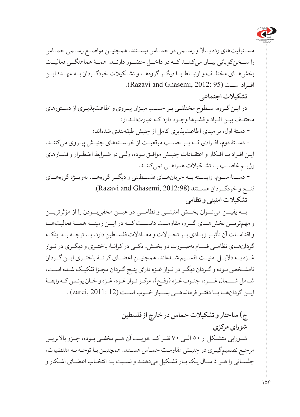

مســئولیتهای رده بــاال و رســمی در حمــاس نیســتند. همچنیــن مواضــع رســمی حمــاس را ســخنگویانی بیــان میکننــد کــه در داخــل حضــور دارنــد. همــۀ هماهنگــی فعالیــت بخشهــای مختلــف و ارتبــاط بــا دیگــر گروههــا و تشــکیالت خودگــردان بــه عهــدۀ ایــن افــراد اســت (95 2012: ,Ghasemi and Razavi(.

**تشکیالت اجتماعی**

در ایـن گـروه، سـطوح مختلفـی بـر حسـب میـزان پیـروی و اطاعتپذیـری از دسـتورهای مختلـف بیـن افـراد و قشـرها وجـود دارد کـه عبارتانـد از: دستۀ اول، بر مبنای اطاعتپذیری کامل از جنبش طبقهبندی شدهاند؛ دســتۀ دوم، افــرادی کــه بــر حســب موقعیــت از خواســتههای جنبــش پیــروی میکننــد. ایـن افـراد بـا افـکار و اعتقـادات جنبـش موافـق بـوده، ولـی در شـرایط اضطـرار و فشـارهای رژیــم غاصــب بــا تشــکیلات همراهــی نمی کننــد. دســتۀ ســوم، وابســته بــه جریانهــای فلســطینی و دیگــر گروههــا، بهویــژه گروههــای فتــح و خودگــردان هســتند (2012:98 ,Ghasemi and Razavi(.

**تشکیالت امنیتی و نظامی**

بــه یقیــن میتــوان بخــش امنیتــی و نظامــی در عیــن مخفیبــودن را از مؤثرتریــن و مهمتریــن بخشهــای گــروه مقاومــت دانســت کــه در ایــن زمینــه همــۀ فعالیتهــا و اقدامــات آن تأثیــر زیــادی بــر تحــوالت و معــادالت فلســطین دارد. بــا توجــه بــه اینکــه گردانهــای نظامــی قسـام بهصـورت دو بخـش، یکــی در کرانــۀ باختـری و دیگـری در نـوار غــزه بــه دالیــل امنیــت تقســیم شــدهاند. همچنیــن اعضــای کرانــۀ باختــری ایــن گــردان نامشـخص بـوده و گـردان دیگـر در نـواز غـزه دارای پنـج گـردان مجـزا تفکیـک شـده اسـت، شـامل شـــمال غـــزه، جنـوب غـزه )رفـح(، مرکـز نـوار غـزه، غـزه و خـان یونـس کـه رابطـۀ ایــن گردانهــا بــا دفتــر فرماندهــی بســیار خــوب اســت (12 2011: ,zarei (.

**ج( ساختار و تشکیالت حماس در خارج از فلسطین شورای مرکزی** شـورایی متشـکل از 50 الـی 70 نفـر کـه هویـت آن هـم مخفـی بـوده، جـزو باالتریـن مرجـع تصمیمگیـری در جنبـش مقاومـت حمـاس هسـتند. همچنیـن بـا توجـه بـه مقتضیات، جلسـاتی را هـر 4 سـال یـک بـار تشـکیل میدهنـد و نسـبت بـه انتخـاب اعضـای آشـکار و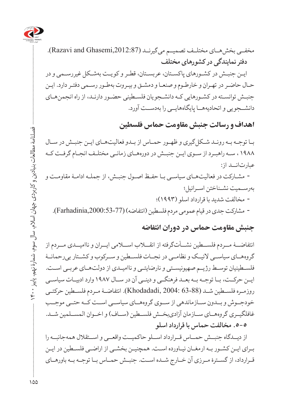

مخفــی بخشهــای مختلـف تصمیــم می گیرنــد (Razavi and Ghasemi,2012:87). **دفتر نمایندگی در کشورهای مختلف** ایـن جنبـش در کشـورهای پاکسـتان، عربسـتان، قطـر و کویـت بهشـکل غیررسـمی و در حـال حاضـر در تهـران و خارطـوم و صنعـا و دمشـق و بیـروت بهطـور رسـمی دفتـر دارد. ایـن جنبـش توانسـته در کشـورهایی کـه دانشـجویان فلسـطینی حضـور دارنـد، از راه انجمنهـای دانشــجویی و اتحادیههــا پایگاههایــی را بهدســت آورد.

# **اهداف و رسالت جنبش مقاومت حماس فلسطین**

بـا توجـه بـه رونـد شـکلگیری و ظهـور حمـاس از بـدو فعالیتهـای ایـن جنبـش در سـال 1988 ، سـه راهبـرد از سـوی ایـن جنبـش در دورههـای زمانـی مختلـف انجـام گرفـت کـه عبارتانــد از: مشـارکت در فعالیتهـای سیاسـی بـا حفـظ اصـول جنبـش، از جملـه ادامـۀ مقاومـت و بهرسـمیت نشـناختن اسـرائیل؛ مخالفت شدید با قرارداد اسلو )1993(؛ - مشارکت جدی در قیام عمومی مردم فلسطین (انتفاضه) (Farhadinia,2000:53-77).

#### **جنبش مقاومت حماس در دوران انتفاضه**

انتفاضــۀ مــردم فلســطین نشــأتگرفته از انقــاب اســامی ایــران و ناامیــدی مــردم از گروههــای سیاســی الئیــک و نظامــی در نجــات فلســطین و ســرکوب و کشــتار بیرحمانــۀ فلسـطینیان توسـط رژیـم صهیونیسـتی و نارضایتـی و ناامیـدی از دولتهـای عربـی اسـت. ایــن حرکــت، بــا توجــه بــه بعــد فرهنگــی و دینــی آن در ســال 1987 وارد ادبیــات سیاســی روزمــره فلســطین شــد (63-88 2004: ,Khodadadi(. انتفاضــۀ مــردم فلســطین حرکتــی خودجــوش و بــدون ســازماندهی از ســوی گروههــای سیاســی اســت کــه حتــی موجــب غافلگیــری گروههــای ســازمان آزادیبخــش فلســطین (ســاف) و اخــوان المســلمین شــد. **.5-5 مخالفت حماس با قرارداد اسلو**

از دیــدگاه جنبــش حمــاس قــرارداد اســلو حاکمیــت واقعــی و اســتقالل همهجانبــه را بـرای ایـن کشـور بـه ارمغـان نیـاورده اسـت. همچنیـن بخشـی از اراضـی فلسـطین در ایـن قــرارداد، از گســترۀ مــرزی آن خــارج شــده اســت. جنبــش حمــاس بــا توجــه بــه باورهــای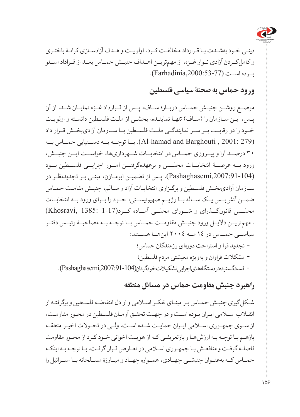

دینـی خـود بهشـدت بـا قـرارداد مخالفـت کـرد. اولویـت و هـدف آزادسـازی کرانـۀ باختـری و کاملکــردن آزادی نــوار غــزه، از مهمتریــن اهــداف جنبــش حمــاس بعــد از قــراداد اســلو بــوده اســت (Farhadinia,2000:53-77).

# **ورود حماس به صحنۀ سیاسی فلسطین**

موضــع روشــن جنبــش حمــاس دربــارۀ ســاف، پــس از قــرارداد غــزه نمایــان شــد. از آن یـس، ایـن سـازمان را (سـاف) تنهـا نماینـده، بخشـی از ملـت فلسـطین دانسـته و اولویـت خــود را در رقابــت بــر ســر نمایندگــی ملــت فلســطین بــا ســازمان آزادیبخــش قــرار داد (279 2001: , Barghouti and hamad-Al(. بــا توجــه بــه دســتیابی حمــاس بــه 30 درصــد آرا و پیــروزی حمــاس در انتخابــات شــهرداریها، خواســت ایــن جنبــش، ورود بــه عرصــۀ انتخابــات مجلــس و برعهدهگرفتــن امــور اجرایــی فلســطین بــود (,2007:91-104Pashaghasemi(. پـس از تضمیـن ابومـازن، مبنـی بـر تجدیدنظـر در سـازمان آزادیبخـش فلسـطین و برگـزاری انتخابـات آزاد و سـالم، جنبـش مقامـت حمـاس ضمــن آتشبــس یــک ســاله بــا رژیــم صهیونیســتی، خــود را بــرای ورود بــه انتخابــات مجلــس قانونگــذرای و شــورای محلــی آمــاده کــرد(1-17 :Khosravi, 1385) . مهمتریــن دالیــل ورود جنبــش مقاومــت حمــاس بــا توجــه بــه مصاحبــۀ رئیــس دفتــر سیاســی حمــاس در 14 مــه 2004 اینهــا هســتند: تجدید قوا و استراحت دورهای رزمندگان حماس؛ مشکالت فراوان و بهویژه معیشتی مردم فلسطین؛ فساد گسترده در دستگاههای اجرایی تشکیالت خودگردان (,2007:91-104Pashaghasemi(.

### **راهبرد جنبش مقاومت حماس در مسائل منطقه**

شـکلگیری جنبـش حمـاس بـر مبنـای تفکـر اسـامی و از دل انتفاضـه فلسـطین و برگرفتـه از انقـاب اسـامی ایـران بـوده اسـت و در جهـت تحقـق آرمـان فلسـطین در محـور مقاومـت، از ســوی جمهــوری اســامی ایــران حمایــت شــده اســت. ولــی در تحــوالت اخیــر منطقــه بازهـم بـا توجـه بـه ارزشهـا و بازتعریفـی کـه از هویـت اخوانی خـود کـرد از محـور مقاومت فاصلـه گرفـت و منافعـش بـا جمهـوری اسـامی در تعـارض قـرار گرفـت. بـا توجـه بـه اینکـه حمــاس کــه بهعنــوان جنبشــی جهــادی، همــواره جهــاد و مبــارزۀ مســلحانه بــا اســرائیل را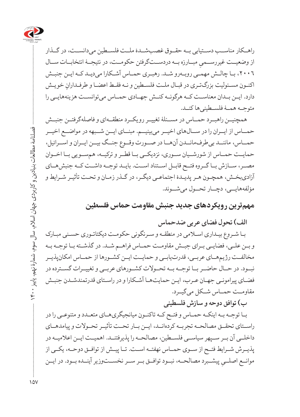

راهــکار مناســب دســتیابی بــه حقــوق غصبشــدۀ ملــت فلســطین میدانســت، در گــذار ِ مبــارزه بــه دردســتگرفتن حکومــت، در نتیجــۀ انتخابــات ســال از وضعیــت غیررســمی ،2006 بـا چالـش مهمـی روبـهرو شـد. رهبـری حمـاس آشـکارا میدیـد کـه ایـن جنبـش اکنـون مسـئولیت بزرگتـری در قبـال ملـت فلسـطین و نـه فقـط اعضـا و طرفـدارانِ خويـش دارد. ایــن بــدان معناســت کــه هرگونــه کنــش جهــادی حمــاس میتوانســت هزینههایــی را متوجــه همــۀ فلســطینیها کنــد.

همچنیــن راهبــرد حمــاس در مســئلۀ تغییــر رویکــرد منطقــهای و فاصلهگرفتــن جنبــش حمــاس از ایــران را در ســالهای اخیــر میبینیــم. مبنــای ایــن شــبهه در مواضــع اخیــر حمــاس، ماننــد بیطرفمانــدن آنهــا در صــورت وقــوع جنــگ بیــن ایــران و اســرائیل، حمایــت حمــاس از شورشــیان ســوری، نزدیکــی بــا قطــر و ترکیــه، همســویی بــا اخــوان مصــر، ســازش بــا گــروه فتــح قابــل اســتناد اســت. بایــد توجــه داشــت کــه جنبشهــای آزادیبخـش، همچـون هـر پدیـدۀ اجتماعـی دیگـر، در گـذر زمـان و تحـت تأثیـر شـرایط و مؤلفههایــی، دچــار تحــول میشــوند.

**مهمترین رویکردهای جدید جنبش مقاومت حماس فلسطین** 

**الف( تحول فضای عربی ضدحماس**

 بـا شـروع بیـداری اسـامی در منطقـه و سـرنگونی حکومـت دیکتاتـوری حسـنی مبـارک و بــن علــی، فضایــی بــرای جبــش مقاومــت حمــاس فراهــم شــد. در گذشــته بــا توجــه بــه مخالفــت رژیمهــای عربــی، قدرتیابــی و حمایــت ایــن کشــورها از حمــاس امکانپذیــر نبــود. در حــال حاضــر بــا توجــه بــه تحــوالت کشــورهای عربــی و تغییــرات گســترده در فضـای پیرامونـی جهـان عـرب، ایـن حمایتهـا آشـکارا و در راسـتای قدرتمندشـدن جنبـش مقاومــت حمــاس شــکل میگیــرد.

**ب( توافق دوحه و سازش فلسطینی**

بـا توجـه بـه اینکـه حمـاس و فتـح کـه تاکنـون میانجیگریهـای متعـدد و متنوعـی را در راســتای تحقــق مصالحــه تجربــه کردهانــد، ایــن بــار تحــت تأثیــر تحــوالت و پیامدهــای داخلــی آن بــر ســپهر سیاســی فلســطین، مصالحــه را پذیرفتنــد. اهمیــت ایــن اعالمیــه در پذیــرش شــرایط فتــح از ســوی حمــاس نهفتــه اســت. تــا پیــش از توافــق دوحــه، یکــی از ِ پیشــبرد مصالحــه، نبــود توافــق بــر ســر نخســتوزیر آینــده بــود. در ایــن موانــع اصلــی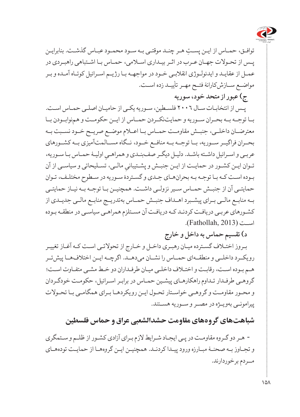

ِ توافـق، حمـاس از ایـن پسـت هـر چنـد موقتـی بـه سـود محمـود عبـاس گذشـت. بنابرایـن پـس از تحـوالت جهـان عـرب در اثـر بیـداری اسـامی، حمـاس بـا اشـتباهی راهبـردی در عمـل از عقایـد و ایدئولـوژی انقالبـی خـود در مواجهـه بـا رژیـم اسـرائیل کوتـاه آمـده و بـر مواضــع ســازشکارانۀ فتــح مهــر تأییــد زده اســت. **ج( عبور از متحد خود، سور یه**

 پـس از انتخابـات سـال 2006 فلسـطین، سـوریه یکـی از حامیـان اصلـی حمـاس اسـت. بــا توجــه بــه بحــران ســوریه و حمایتنکــردن حمــاس از ایــن حکومــت و همنوابــودن بــا معترضــان داخلــی، جنبــش مقاومــت حمــاس بــا اعــام موضــع صریــح خــود نســبت بــه بحــران فراگیــر ســوریه، بــا توجــه بــه منافــع خــود، نــگاه مســالمتآمیزی بــه کشــورهای عربـی و اسـرائيل داشـته باشـد. دليـل ديگـر صفـبنـدي و همراهـيِ اوليـۀ حمـاس بـا سـوريه،<br>-تـوان ایــن کشــور در حمایــت از ایــن جنبــش و پشــتیبانیِ مالــی، تســلیحاتی و سیاســی از آن<br>-بـوده اسـت کـه بـا توجـه بـه بحرانهـای جـدی و گسـتردۀ سـوریه در سـطوح مختلـف، تـوان حمایتــی آن از جنبــش حمــاس ســیر نزولــی داشــت. همچنیـن بــا توجــه بــه نیــاز حمایتــی بــه منابــع مالــی بــرای پیشــبرد اهــداف جنبــش حمــاس بهتدریــج منابــع مالــی جدیــدی از کشـورهای عربـی دریافـت کردنـد کـه دریافـت آن مسـتلزم همراهـی سیاسـی در منطقـه بـوده  $(Fathollah, 2013)$ است (Fathollah, 2013

**د( تقسیم حماس به داخل و خارج**

بـروز اختـاف گسـترده میـان رهبـری داخـل و خـارج از تحوالتـی اسـت کـه آغـاز تغییـر رویکــرد داخلــی و منطقــهای حمــاس را نشــان میدهــد. اگرچــه ایــن اختالفهــا پیشتــر هـم بـوده اسـت، رقابـت و اختـاف داخلـی میـان طرفـداران دو خـط مشـی متفـاوت اسـت؛ گروهـی طرفـدار تـداوم راهکارهـای پیشـین حمـاس در برابـر اسـرائیل، حکومـت خودگـردان و محـور مقاومـت و گروهـی خواسـتار تحـول ایـن رویکردهـا بـرای همگامـی بـا تحـوالت پیرامونـی بهویـژه در مصـر و سـوریه هسـتند.

# **شباهتهای گروههای مقاومت حشدالشعبی عراق و حماس فلسطین**

 هــ دو گ روه مقاومـت در پـی ایجـاد شـرایط الزم بـرای آزادی کشـور از ظلـم و سـتمگری و تجـاوز بـه صحنـۀ مبـارزه ورود پیـدا کردنـد. همچنیـن ایـن گروههـا از حمایـت تودههـای مــردم برخوردارند.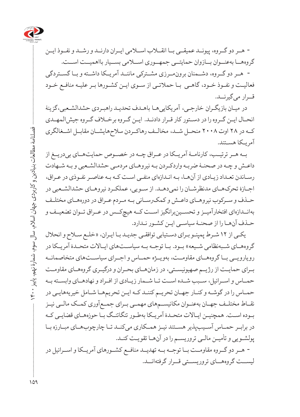

 هرـ دو گرــوه، پیونــد عمیقــی بــا انقــاب اســامی ایــران دارنــد و رشــد و نفــوذ ایــن گروههــا بهعنــوان بــازوان حمایتــی جمهــوری اســامی بســیار بااهمیــت اســت. هـر دو گ روه، دشــمنان برونمــرزی مشــترکی ماننــد آمریــکا داشــته و بــا گســتردگی فعالیـت و نفـوذ خـود، گاهـی بـا حمالتـی از سـوی ایـن کشـورها بـر علیـه منافـع خـود قــرار میگیرنــد.

در میـان بازیگـران خارجـی، آمریکاییهـا باهـدف تحدیـد راهبـردی حشدالشـعبی،گزینۀ انحــال ایـن گـروه را در دسـتور کار قـرار دادنـد. ایـن گـروه برخـاف گـروه جیشالمهـدی کــه در 28 اوت 2008 منحــل شــد، مخالــف رهاکــردن سالحهایشــان مقابــل اشــغالگری آمریـکا هسـتند.

بــه هــر ترتیــب، کارنامــۀ آمریــکا در عــراق چــه در خصــوص حمایتهــای بیدریــغ از داعـش و چـه در صحنـۀ ضربـه واردکـردن بـه نیروهـای مردمـی حشدالشـعبی و بـه شـهادت رسـاندن تعـداد زیـادی از آنهـا، بـه انـدازهای منفـی اسـت کـه بـه عناصـر نفـوذی در عـراق، اجـازۀ تحرکهـای مدنظرشـان را نمیدهـد. از سـویی، عملکـرد نیروهـای حشدالشـعبی در حــذف و ســرکوب نیروهــای داعــش و کمکرســانی بــه مــردم عــراق در دورههــای مختلــف بهانــدازهای افتخارآمیــز و تحســینبرانگیز اســت کــه هیچکــس در عــراق تــوان تضعیــف و حـذف آنهـا را از صحنـۀ سیاسـی ایـن کشـور نـدارد.

 یکـی از 12 شـرط پمپئـو بـرای دسـتیابی توافقـی جدیـد بـا ایـران، »خلـع سـاح و انحالل گروههـای شــبهنظامی شــیعه» بـود. بـا توجــه بــه سیاســتهای ایــالات متحــدۀ آمریــکا در رویارویــی بــا گروههــای مقاومــت، بهویــژه حمــاس و اجــرای سیاســتهای متخاصمانــه بــرای حمایــت از رژیــم صهیونیســتی، در زمانهــای بحــران و درگیــری گروههــای مقاومــت حمــاس و اســرائیل، ســبب شــده اســت تــا شــمار زیــادی از افــراد و نهادهــای وابســته بــه حمـاس را در گوشـه و کنـار جهـان تحریـم کننـد کـه ایـن تحریمهـا شـامل خیریههایـی در نقــاط مختلــف جهــان بهعنــوان مکانیســمهای مهمــی بــرای جمــعآوری کمــک مالــی نیــز بـوده اسـت. همچنیـن ایـاالت متحـدۀ آمریـکا بهطـور تنگاتنـگ بـا حوزههـای قضایـی کـه در برابــر حمــاس آســیبپذیر هســتند نیــز همــکاری میکنــد تــا چارچوبهــای مبــارزه بــا پولشـویی و تأمیـن مالـی تروریسـم را در آنهـا تقویـت کنـد. هــر دو گــروه مقاومــت بــا توجــه بــه تهدیــد منافــع کشــورهای آمریــکا و اســرائیل در لیســت گروههــای تروریســتی قــرار گرفتهانــد.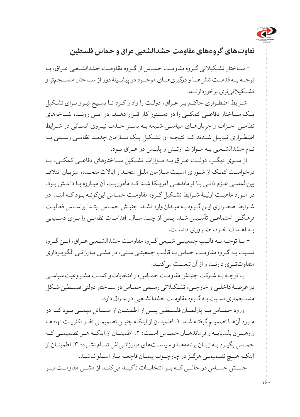

**تفاوتهای گروههای مقاومت حشدالشعبی عراق و حماس فلسطین**

 سـاختار تشـکیالتی گـروه مقاومـت حمـاس از گـروه مقاومـت حشدالشـعبی عـراق، بـا توجــه بــه قدمــت تنشهــا و درگیریهــای موجــود در پیشــینۀ دور از ســاختار منســجمتر و تشــکیلاتی تری برخوردارنــد.

شـرایط اضطـراری حاکـم بـر عـراق، دولـت را وادار کـرد تـا بسـیج نیـرو بـرای تشـکیل یــک ســاختار دفاعــی کمکــی را در دســتور کار قــرار دهــد. در ایــن رونــد، شــاخههای نظامـی احـزاب و جریانهـای سیاسـی شـیعه بـه بسـتر جـذب نیـروی انسـانی در شـرایط اضطـراری تبدیـل شـدند کـه نتیجـۀ آن تشـکیل یـک سـازمان جدیـد نظامـی رسـمی بـه نـام حشدالشـعبی بـه مـوازات ارتـش و پلیـس در عـراق بـود.

از ســوی دیگــر، دولــت عــراق بــه مــوازات تشــکیل ســاختارهای دفاعــی کمکــی، بــا درخواسـت کمـک از شـورای امنیـت سـازمان ملـل متحـد و ایاالت متحـده، میزبـان ائتالف بینالمللـی عـزم ذاتـی بـا فرماندهـی آمریـکا شـد کـه مأموریـت آن مبـارزه بـا داعـش بـود. در مـورد ماهیـت اولیـۀ شـرایط تشـکیل گـروه مقاومـت حمـاس اینگونـه بـود کـه ابتـدا در شـرایط اضطـراری ایـن گـروه بـه میـدان وارد نشـد. جنبـش حمـاس ابتـدا براسـاس فعالیـت فرهنگـی اجتماعـی تأسـیس شـد، پـس از چنـد سـال، اقدامـات نظامـی را بـرای دسـتیابی بـه اهـداف خـود، ضـروری دانسـت.

 بــا توجــه بــه قالــب جمعیتــی شــیعی گــروه مقاومــت حشدالشــعبی عــراق، ایــن گــروه نسـبت بـه گـروه مقاومـت حماس بـا قالـب جمعیتـی سـنی، در مشـی مبارزاتـی الگوبـرداری متفاوتتــری دارنــد و از آن تبعیــت میکنــد.

 بـا توجـه بـه شـرکت جنبـش مقاومـت حمـاس در انتخابات و کسـب مشـروعیت سیاسـی در عرصـۀ داخلـی و خارجـی، تشـکیالتی رسـمی حمـاس در سـاختار دولتی فلسـطین شـکل منسـجمتری نسـبت بـه گـروه مقاومـت حشدالشـعبی در عـراق دارد.

 ورود حمــاس بــه پارلمــان فلســطین پــس از اطمینــان از مســائل مهمــی بــود كــه در مـورد آنهـا تصمیـم گرفتـه شـد: .۱ اطمینـان از اینكـه چنیـن تصمیمـی نظـر اكثریـت نهادهـا و رهبــران بلندپایــه و فرماندهــان حمــاس اســت؛ .۲ اطمینــان از اینكــه هــر تصمیمــی كــه حمـاس بگیـرد بـه زیـان برنامههـا و سیاسـتهای مبارزاتـیاش تمـام نشـود؛ .۳ اطمینـان از اینكـه هیـچ تصمیمـی هرگـز در چارچـوب پیمـان فاجعـه بـار اسـلو نباشـد. جنبــش حمــاس در حالــی كــه بــر انتخابــات تأكیــد میكنــد از مشــی مقاومــت نیــز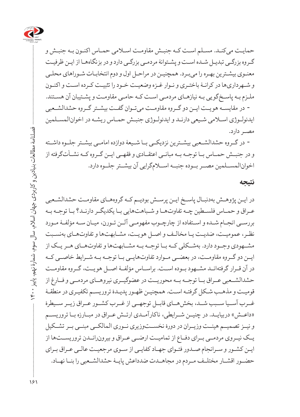

حمایـت میكنـد. مسـلم اسـت كـه جنبـش مقاومـت اسـامی حمـاس اكنـون بـه جنبـش و گـروه بزرگـی تبدیـل شـده اسـت و پشـتوانۀ مردمـی بزرگـی دارد و در بزنگاههـا از ایـن ظرفیـت معنـوی بیشـترین بهـره را میبرـد. همچنیـن در مراحـل اول و دوم انتخابـات شـوراهای محلـی و شـهرداریها در كرانـۀ باختـری و نـوار غـزه وضعیـت خـود را تثبیـت كـرده اسـت و اكنـون ملـزم بـه پاسـخگویی بـه نیازهـای مردمـی اسـت كـه حامـی مقاومـت و پشـتیبان آن هسـتند. در مقایســه هویــت ایــن دو گــروه مقاومــت میتــوان گفــت بیشــتر گــروه حشدالشــعبی

ایدئولـوژی اسـلامی شـیعی دارنـد و ایدئولـوژی جنبـش حمـاس ریشـه در اخوان المسـلمین مصـر دارد.

 در گــروه حشدالشــعبی بیشــترین نزدیکــی بــا شــیعۀ دوازده امامــی بیشــتر جلــوه داشــته و در جنبــش حمــاس بــا توجــه بــه مبانــی اعتقــادی و فقهــی ایــن گــروه کــه نشــأتگرفته از اخوانالمســلمین مصــر بــوده جنبــه اســامگرایی آن بیشــتر جلــوه دارد.

#### **نتیجه**

در ایـن پژوهـش بهدنبـال پاسـخ ایـن پرسـش بودیـم کـه گروههـای مقاومـت حشدالشـعبی عـراق و حمـاس فلسـطین چـه تفاوتهـا و شـباهتهایی بـا یکدیگـر دارنـد؟ بـا توجـه بـه بررسـی انجـام شـده و اسـتفاده از چارچـوب مفهومـی آلـن تـورن، میـان سـه مؤلفـۀ مـورد نظـر، عمومیـت، ضدیـت یـا مخالـف و اصـل هویـت، مشـابهتها و تفاوتهـای بهنسـبت مشــهودی وجــود دارد. بهشــکلی کــه بــا توجــه بــه مشــابهتها و تفاوتهــای هــر یــک از ایــن دو گــروه مقاومــت، در بعضــی مــوارد تفاوتهایــی بــا توجــه بــه شــرایط خاصــی کــه در آن قــرار گرفتهانــد مشــهود بــوده اســت. براســاس مؤلفــۀ اصــل هویــت، گــروه مقاومــت حشدالشــعبی عــراق بــا توجــه بــه محوریــت در عضوگیــری نیروهــای مردمــی و فــارغ از قومیـت و مذهـب شـکل گرفتـه اسـت. همچنیـن ظهـور پدیـدۀ تروریسـم تکفیـری در منطقـۀ غــرب آســیا ســبب شــد، بخشهــای قابــل توجهــی از غــرب کشــور عــراق زیــر ســیطرۀ «داعــش» دربیایــد. در چنیــن شــرایطی، ناکارآمــدی ارتــش عــراق در مبــارزه بــا تروریســم و نیــز تصمیــم هیئــت وزیــران در دورۀ نخســتوزیری نــوری المالکــی مبنــی بــر تشــکیل یــک نیــروی مردمــی بــرای دفــاع از تمامیــت ارضــی عــراق و بیرونرانــدن تروریســتها از ایـن کشـور و سـرانجام صـدور فتـوای جهـاد کفایـی از سـوی مرجعیـت عالـی عـراق بـرای حضـور اقشــار مختلـف مـردم در مجاهــدت ضدداعش پايــۀ حشدالشــعبى را بنــا نهــاد.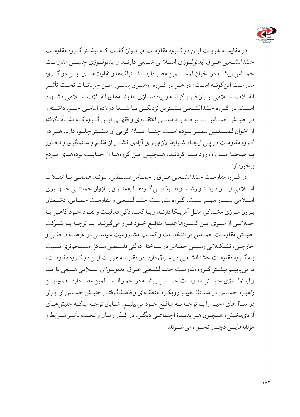

در مقایســۀ هویــت ایــن دو گــروه مقاومــت میتــوان گفــت کــه بیشــتر گــروه مقاومــت حشدالشــعبی عــراق ایدئولــوژی اســامی شــیعی دارنــد و ایدئولــوژی جنبــش مقاومــت حم اس ریشهــ در [اخوانالمســلمین](http://hamshahrionline.ir/details/127033) مصر دارد. اشــتراکها و تفاوتهــای ایــن دو گــروه مقاومــت اینگونــه اســت: در هــر دو گــروه، رهبــران پیشــرو ایــن جریانــات تحــت تأثیــر انقــاب اســامی ایــران قــرار گرفتــه و پیادهســازی اندیشــههای انقــاب اســامی مشــهود اســت. در گــروه حشدالشــعبی بیشــترین نزدیکــی بــا شــیعۀ دوازده امامــی جلــوه داشــته و در جنبــش حمــاس بــا توجــه بــه مبانــی اعتقــادی و فقهــی ایــن گــروه کــه نشــأتگرفته از اخوانالمســلمین مصــر بــوده اســت جنبــۀ اســامگرایی آن بیشــتر جلــوه دارد. هــر دو گـروه مقاومـت در پـی ایجـاد شـرایط لازم بـرای آزادی کشـور از ظلـم و سـتمگری و تجـاوز بــه صحنــۀ مبــارزه ورود پیــدا کردنــد. همچنیــن ایــن گروههــا از حمایــت تودههــای مــردم برخوردارنــد.

دو گــروه مقاومــت حشدالشــعبی عــراق و حمــاس فلســطین، پیونــد عمیقــی بــا انقــاب اســامی ایــران دارنــد و رشــد و نفــوذ ایــن گروههــا بهعنــوان بــازوان حمایتــی جمهــوری اســامی بســیار مهــم اســت. گــروه مقاومــت حشدالشــعبی و مقاومــت حمــاس، دشــمنان بـرون مـرزی مشـترکی مثـل آمریـکا دارنـد و بـا گسـتردگی فعالیـت و نفـوذ خـود گاهـی بـا حملاتـی از سـوی ایـن کشـورها علیـه منافـع خـود قـرار میگیرنـد. بـا توجـه بـه شـرکت جنبــش مقاومــت حمــاس در انتخابــات و کســب مشــروعیت سیاســی در عرصــۀ داخلــی و خارجـی، تشـکیالتی رسـمی حمـاس در سـاختار دولتی فلسـطین شـکل منسـجمتری نسـبت بـه گـروه مقاومـت حشدالشـعبی در عـراق دارد. در مقایسـه هویـت ایـن دو گـروه مقاومـت، درمییابیــم بیشــتر گــروه مقاومــت حشدالشــعبی عــراق ایدئولــوژی اســامی شــیعی دارنــد و ایدئولــوژی جنبــش مقاومــت حمـــاس ریشـــه در اخوان|لمســـلمین مصر دارد. همچنیـــن راهبـرد حمـاس در مسـئلۀ تغییـر رویکـرد منطقـهای و فاصلهگرفتـن جنبـش حمـاس از ایـران در ســالهای اخیــر را بــا توجــه بــه منافــع خــود میبینیــم. شــایان توجــه اینکــه جنبشهــای آزادیبخـش، همچـون هـر پدیـدۀ اجتماعـی دیگـر، در گـذر زمـان و تحـت تأثیـر شـرایط و مؤلفههایــی دچــار تحــول میشــوند.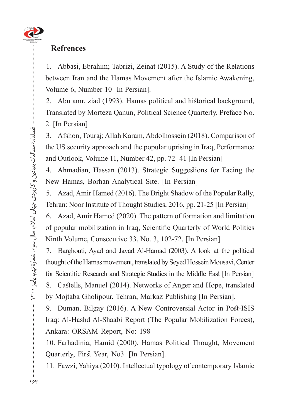

### **Refrences**

1. Abbasi, Ebrahim; Tabrizi, Zeinat (2015). A Study of the Relations between Iran and the Hamas Movement after the Islamic Awakening, Volume 6, Number 10 [In Persian].

2. Abu amr, ziad (1993). Hamas political and historical background, Translated by Morteza Qanun, Political Science Quarterly, Preface No. 2. [In Persian]

3. Afshon, Touraj; Allah Karam, Abdolhossein (2018). Comparison of the US security approach and the popular uprising in Iraq, Performance and Outlook, Volume 11, Number 42, pp. 72- 41 [In Persian]

4. Ahmadian, Hassan (2013). Strategic Suggestions for Facing the New Hamas, Borhan Analytical Site. [In Persian]

5. Azad, Amir Hamed (2016). The Bright Shadow of the Popular Rally, Tehran: Noor Institute of Thought Studies, 2016, pp. 21-25 [In Persian]

6. Azad, Amir Hamed  $(2020)$ . The pattern of formation and limitation of popular mobilization in Iraq, Scientific Quarterly of World Politics Ninth Volume, Consecutive 33, No. 3, 102-72. [In Persian]

7. Barghouti, Ayad and Javad Al-Hamad (2003). A look at the political thought of the Hamas movement, translated by Seyed Hossein Mousavi, Center for Scientific Research and Strategic Studies in the Middle East [In Persian] 8. Castells, Manuel (2014). Networks of Anger and Hope, translated by Mojtaba Gholipour, Tehran, Markaz Publishing [In Persian].

9. Duman, Bilgay (2016). A New Controversial Actor in Post-ISIS Iraq: Al-Hashd Al-Shaabi Report (The Popular Mobilization Forces), Ankara: ORSAM Report, No: 198

10. Farhadinia, Hamid (2000). Hamas Political Thought, Movement Quarterly, First Year, No3. [In Persian].

11. Fawzi, Yahiya (2010). Intellectual typology of contemporary Islamic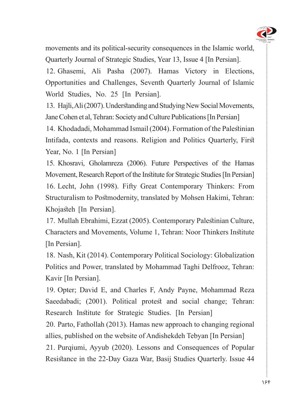

movements and its political-security consequences in the Islamic world, Ouarterly Journal of Strategic Studies, Year 13, Issue 4 [In Persian]. 12. Ghasemi, Ali Pasha (2007). Hamas Victory in Elections, Opportunities and Challenges, Seventh Quarterly Journal of Islamic World Studies, No. 25 [In Persian].

13. Hajli, Ali (2007). Understanding and Studying New Social Movements, Jane Cohen et al, Tehran: Society and Culture Publications [In Persian]

14. Khodadadi, Mohammad Ismail (2004). Formation of the Palestinian Intifada, contexts and reasons. Religion and Politics Quarterly, First Year, No. 1 [In Persian]

15. Khosravi, Gholamreza (2006). Future Perspectives of the Hamas Movement, Research Report of the Institute for Strategic Studies [In Persian] 16. Lecht, John (1998). Fifty Great Contemporary Thinkers: From Structuralism to Postmodernity, translated by Mohsen Hakimi, Tehran: Khojasteh [In Persian].

17. Mullah Ebrahimi, Ezzat (2005). Contemporary Palestinian Culture, Characters and Movements, Volume 1, Tehran: Noor Thinkers Institute [In Persian].

18. Nash, Kit (2014). Contemporary Political Sociology: Globalization Politics and Power, translated by Mohammad Taghi Delfrooz, Tehran: Kavir [In Persian].

19. Opter; David E, and Charles F, Andy Payne, Mohammad Reza Saeedabadi; (2001). Political protest and social change; Tehran: Research Institute for Strategic Studies. [In Persian]

20. Parto, Fathollah (2013). Hamas new approach to changing regional allies, published on the website of Andishekdeh Tebyan [In Persian]

21. Purqiumi, Ayyub (2020). Lessons and Consequences of Popular Resistance in the 22-Day Gaza War, Basij Studies Quarterly. Issue 44